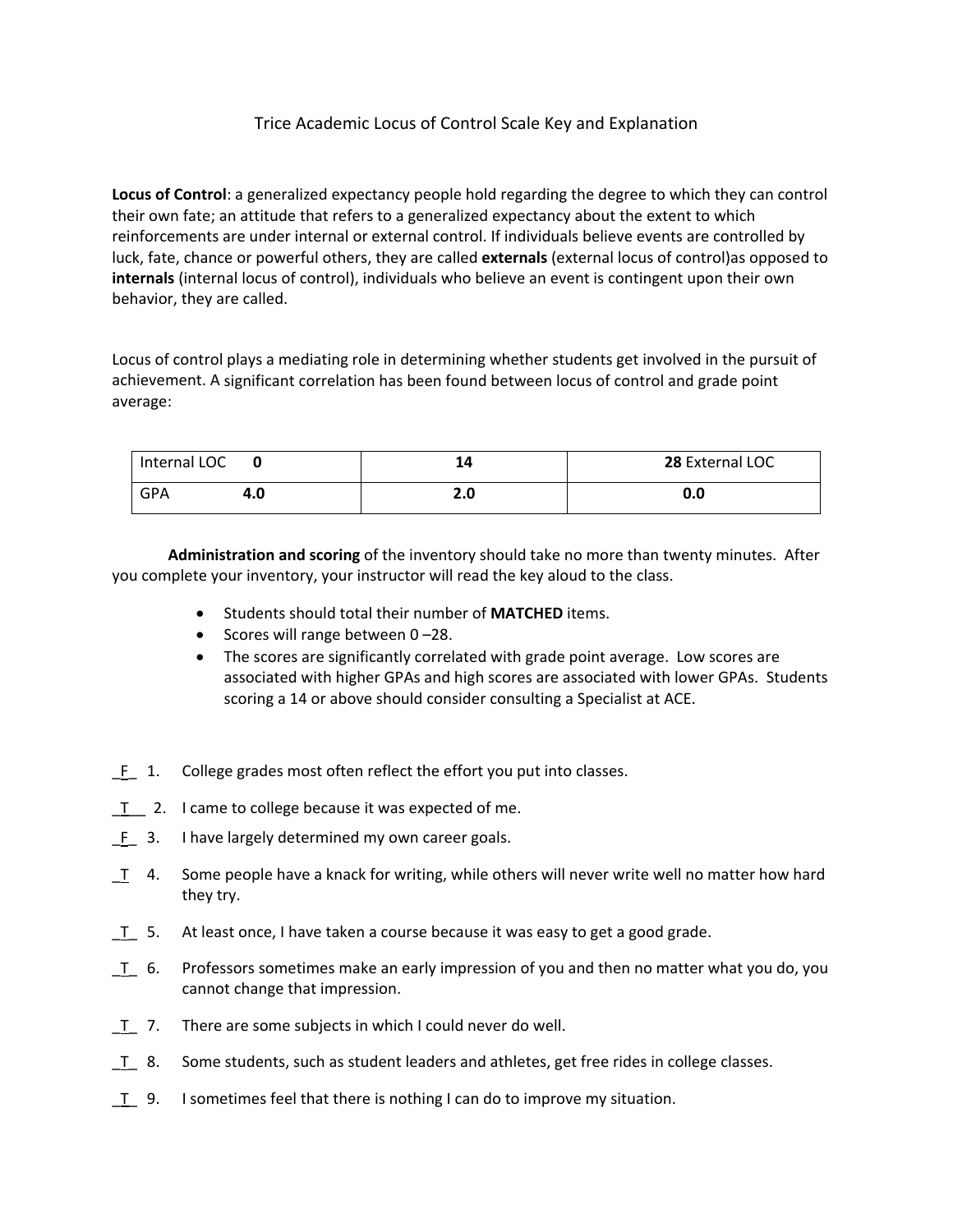## Trice Academic Locus of Control Scale Key and Explanation

**Locus of Control**: a generalized expectancy people hold regarding the degree to which they can control their own fate; an attitude that refers to a generalized expectancy about the extent to which reinforcements are under internal or external control. If individuals believe events are controlled by luck, fate, chance or powerful others, they are called **externals** (external locus of control)as opposed to **internals** (internal locus of control), individuals who believe an event is contingent upon their own behavior, they are called.

Locus of control plays a mediating role in determining whether students get involved in the pursuit of achievement. A significant correlation has been found between locus of control and grade point average:

| Internal LOC |     |     | 28 External LOC |
|--------------|-----|-----|-----------------|
| GPA          | 4.0 | 2.0 | 0.0             |

**Administration and scoring** of the inventory should take no more than twenty minutes. After you complete your inventory, your instructor will read the key aloud to the class.

- Students should total their number of **MATCHED** items.
- $\bullet$  Scores will range between 0-28.
- The scores are significantly correlated with grade point average. Low scores are associated with higher GPAs and high scores are associated with lower GPAs. Students scoring a 14 or above should consider consulting a Specialist at ACE.
- F 1. College grades most often reflect the effort you put into classes.
- T<sub>2</sub>. I came to college because it was expected of me.
- F 3. I have largely determined my own career goals.
- \_T 4. Some people have a knack for writing, while others will never write well no matter how hard they try.
- T 5. At least once, I have taken a course because it was easy to get a good grade.
- $T$  6. Professors sometimes make an early impression of you and then no matter what you do, you cannot change that impression.
- $T$  7. There are some subjects in which I could never do well.
- T 8. Some students, such as student leaders and athletes, get free rides in college classes.
- \_T\_ 9. I sometimes feel that there is nothing I can do to improve my situation.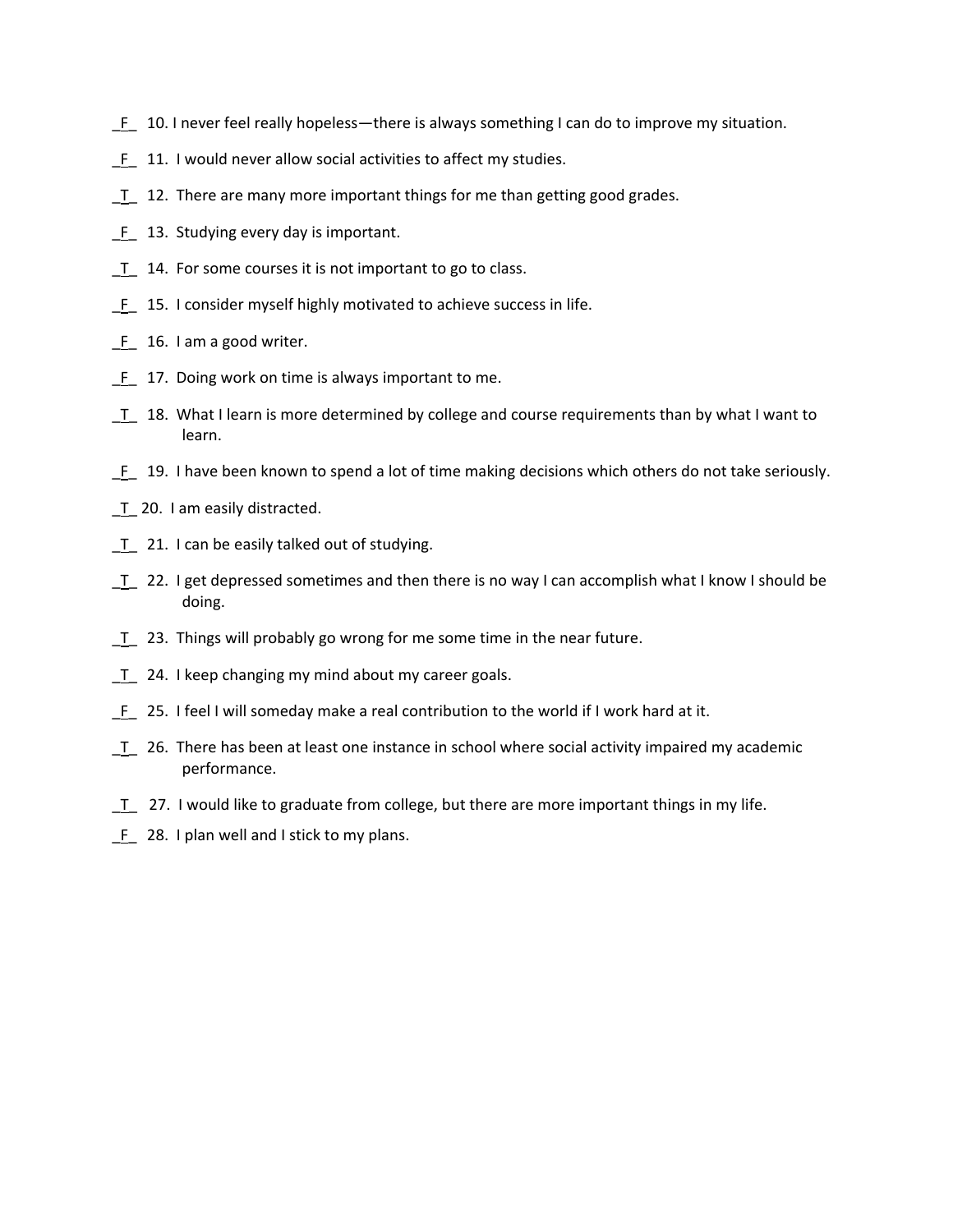- \_F\_ 10. I never feel really hopeless—there is always something I can do to improve my situation.
- \_F\_ 11. I would never allow social activities to affect my studies.
- T 12. There are many more important things for me than getting good grades.
- F 13. Studying every day is important.
- T 14. For some courses it is not important to go to class.
- \_F\_ 15. I consider myself highly motivated to achieve success in life.
- F 16. I am a good writer.
- $F_ 17.$  Doing work on time is always important to me.
- T 18. What I learn is more determined by college and course requirements than by what I want to learn.
- \_F\_ 19. I have been known to spend a lot of time making decisions which others do not take seriously.
- \_T\_ 20. I am easily distracted.
- T 21. I can be easily talked out of studying.
- $T$  22. I get depressed sometimes and then there is no way I can accomplish what I know I should be doing.
- \_T\_ 23. Things will probably go wrong for me some time in the near future.
- T 24. I keep changing my mind about my career goals.
- \_F\_ 25. I feel I will someday make a real contribution to the world if I work hard at it.
- $T$  26. There has been at least one instance in school where social activity impaired my academic performance.
- T 27. I would like to graduate from college, but there are more important things in my life.
- $F_ 28.$  I plan well and I stick to my plans.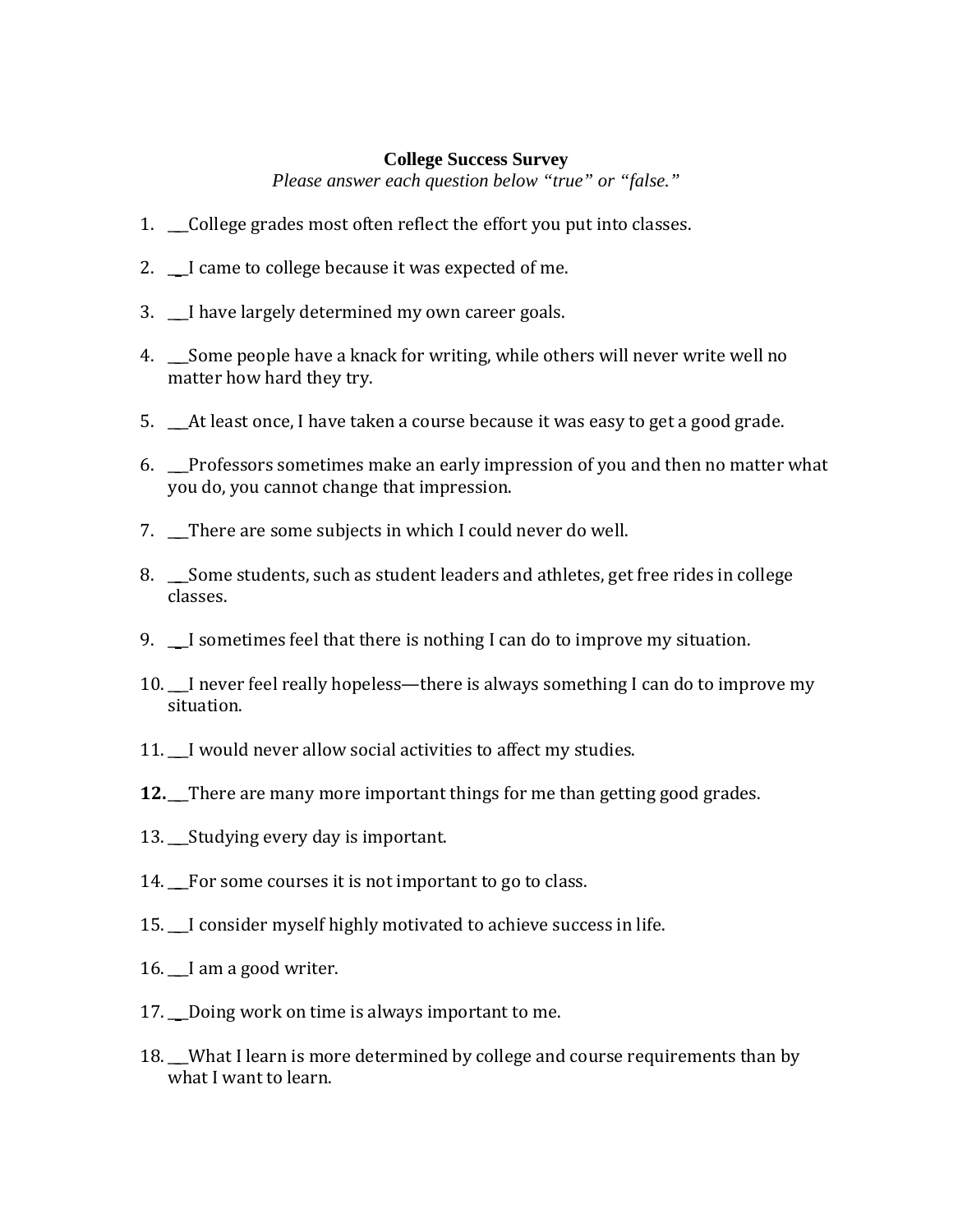## **College Success Survey**

*Please answer each question below "true" or "false."* 

- 1. College grades most often reflect the effort you put into classes.
- 2. I came to college because it was expected of me.
- 3. \_\_\_I have largely determined my own career goals.
- 4. \_\_\_Some people have a knack for writing, while others will never write well no matter how hard they try.
- 5. \_\_\_At least once, I have taken a course because it was easy to get a good grade.
- 6. \_\_\_Professors sometimes make an early impression of you and then no matter what you do, you cannot change that impression.
- 7. There are some subjects in which I could never do well.
- 8. \_\_\_Some students, such as student leaders and athletes, get free rides in college classes.
- 9. \_\_\_I sometimes feel that there is nothing I can do to improve my situation.
- 10.\_\_\_I never feel really hopeless—there is always something I can do to improve my situation.
- 11. I would never allow social activities to affect my studies.
- **12.** There are many more important things for me than getting good grades.
- 13.\_\_\_Studying every day is important.
- 14. For some courses it is not important to go to class.
- 15. I consider myself highly motivated to achieve success in life.
- 16. I am a good writer.
- 17. Doing work on time is always important to me.
- 18. What I learn is more determined by college and course requirements than by what I want to learn.